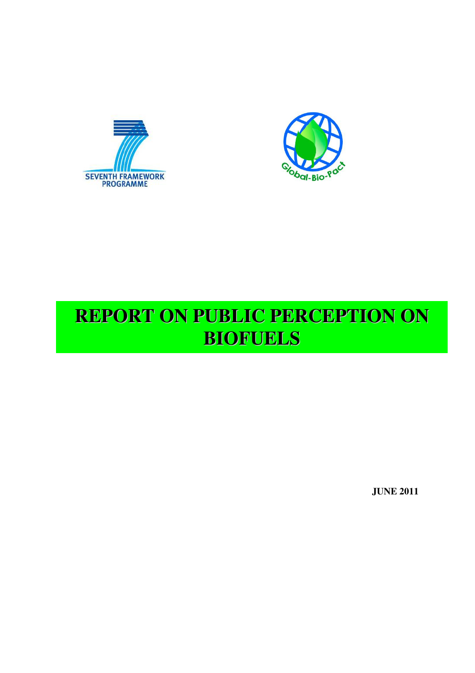



# **REPORT ON PUBLIC PERCEPTION ON BIOFUELS**

**JUNE 2011**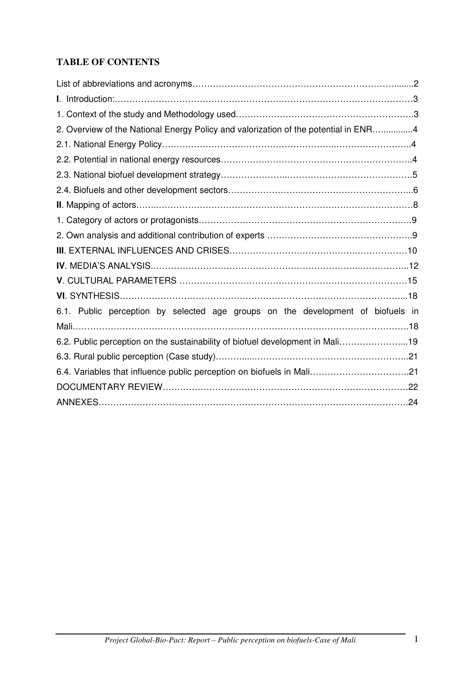# **TABLE OF CONTENTS**

| 2. Overview of the National Energy Policy and valorization of the potential in ENR4 |  |
|-------------------------------------------------------------------------------------|--|
|                                                                                     |  |
|                                                                                     |  |
|                                                                                     |  |
|                                                                                     |  |
|                                                                                     |  |
|                                                                                     |  |
|                                                                                     |  |
|                                                                                     |  |
|                                                                                     |  |
|                                                                                     |  |
|                                                                                     |  |
| 6.1. Public perception by selected age groups on the development of biofuels in     |  |
|                                                                                     |  |
| 6.2. Public perception on the sustainability of biofuel development in Mali19       |  |
|                                                                                     |  |
| 6.4. Variables that influence public perception on biofuels in Mali21               |  |
|                                                                                     |  |
|                                                                                     |  |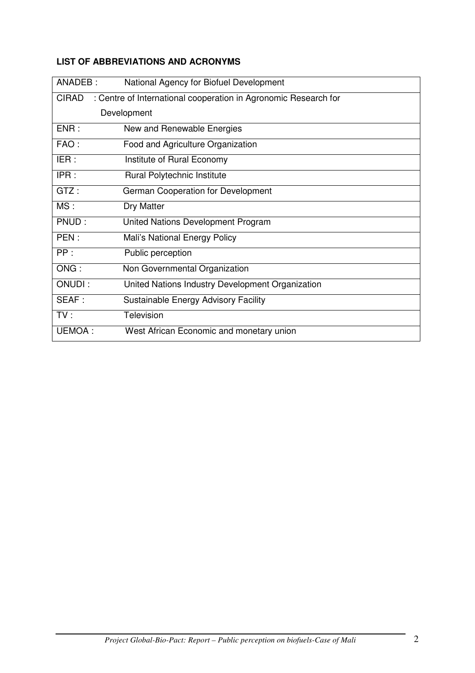| ANADEB:      | National Agency for Biofuel Development                         |
|--------------|-----------------------------------------------------------------|
| <b>CIRAD</b> | : Centre of International cooperation in Agronomic Research for |
|              | Development                                                     |
| ENR:         | New and Renewable Energies                                      |
| FAO:         | Food and Agriculture Organization                               |
| IER:         | Institute of Rural Economy                                      |
| IPR:         | Rural Polytechnic Institute                                     |
| GTZ:         | <b>German Cooperation for Development</b>                       |
| MS:          | Dry Matter                                                      |
| PNUD:        | United Nations Development Program                              |
| PEN:         | Mali's National Energy Policy                                   |
| PP:          | Public perception                                               |
| ONG:         | Non Governmental Organization                                   |
| ONUDI:       | United Nations Industry Development Organization                |
| SEAF:        | Sustainable Energy Advisory Facility                            |
| TV:          | Television                                                      |
| UEMOA:       | West African Economic and monetary union                        |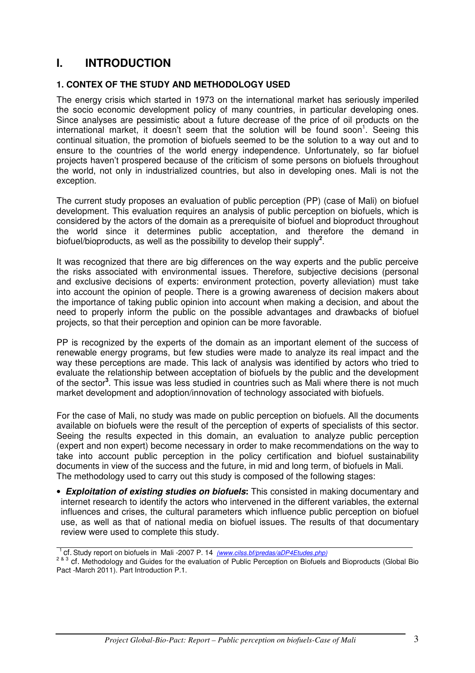# **I. INTRODUCTION**

### **1. CONTEX OF THE STUDY AND METHODOLOGY USED**

The energy crisis which started in 1973 on the international market has seriously imperiled the socio economic development policy of many countries, in particular developing ones. Since analyses are pessimistic about a future decrease of the price of oil products on the international market, it doesn't seem that the solution will be found soon<sup>1</sup>. Seeing this continual situation, the promotion of biofuels seemed to be the solution to a way out and to ensure to the countries of the world energy independence. Unfortunately, so far biofuel projects haven't prospered because of the criticism of some persons on biofuels throughout the world, not only in industrialized countries, but also in developing ones. Mali is not the exception.

The current study proposes an evaluation of public perception (PP) (case of Mali) on biofuel development. This evaluation requires an analysis of public perception on biofuels, which is considered by the actors of the domain as a prerequisite of biofuel and bioproduct throughout the world since it determines public acceptation, and therefore the demand in biofuel/bioproducts, as well as the possibility to develop their supply**<sup>2</sup>** .

It was recognized that there are big differences on the way experts and the public perceive the risks associated with environmental issues. Therefore, subjective decisions (personal and exclusive decisions of experts: environment protection, poverty alleviation) must take into account the opinion of people. There is a growing awareness of decision makers about the importance of taking public opinion into account when making a decision, and about the need to properly inform the public on the possible advantages and drawbacks of biofuel projects, so that their perception and opinion can be more favorable.

PP is recognized by the experts of the domain as an important element of the success of renewable energy programs, but few studies were made to analyze its real impact and the way these perceptions are made. This lack of analysis was identified by actors who tried to evaluate the relationship between acceptation of biofuels by the public and the development of the sector**<sup>3</sup>** . This issue was less studied in countries such as Mali where there is not much market development and adoption/innovation of technology associated with biofuels.

For the case of Mali, no study was made on public perception on biofuels. All the documents available on biofuels were the result of the perception of experts of specialists of this sector. Seeing the results expected in this domain, an evaluation to analyze public perception (expert and non expert) become necessary in order to make recommendations on the way to take into account public perception in the policy certification and biofuel sustainability documents in view of the success and the future, in mid and long term, of biofuels in Mali. The methodology used to carry out this study is composed of the following stages:

- *Exploitation of existing studies on biofuels***:** This consisted in making documentary and internet research to identify the actors who intervened in the different variables, the external influences and crises, the cultural parameters which influence public perception on biofuel use, as well as that of national media on biofuel issues. The results of that documentary review were used to complete this study.
- <sup>1</sup>cf. Study report on biofuels in Mali -2007 P. 14 *(www.cilss.bf/predas/aDP4Etudes.php)*

<sup>2 &</sup>amp; 3 cf. Methodology and Guides for the evaluation of Public Perception on Biofuels and Bioproducts (Global Bio Pact -March 2011). Part Introduction P.1.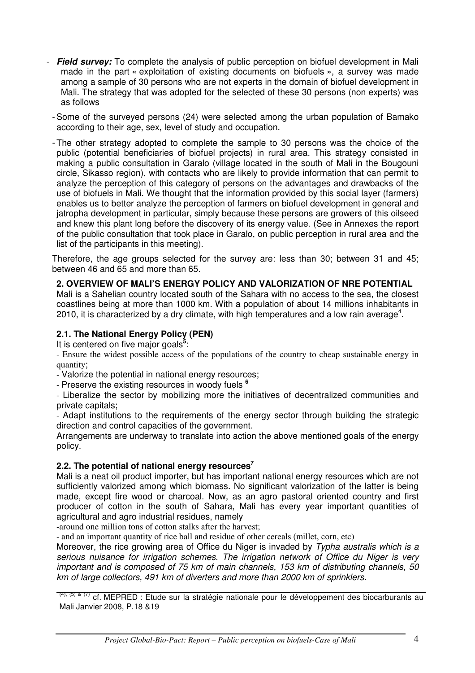- *Field survey:* To complete the analysis of public perception on biofuel development in Mali made in the part « exploitation of existing documents on biofuels », a survey was made among a sample of 30 persons who are not experts in the domain of biofuel development in Mali. The strategy that was adopted for the selected of these 30 persons (non experts) was as follows

- Some of the surveyed persons (24) were selected among the urban population of Bamako according to their age, sex, level of study and occupation.

- The other strategy adopted to complete the sample to 30 persons was the choice of the public (potential beneficiaries of biofuel projects) in rural area. This strategy consisted in making a public consultation in Garalo (village located in the south of Mali in the Bougouni circle, Sikasso region), with contacts who are likely to provide information that can permit to analyze the perception of this category of persons on the advantages and drawbacks of the use of biofuels in Mali. We thought that the information provided by this social layer (farmers) enables us to better analyze the perception of farmers on biofuel development in general and jatropha development in particular, simply because these persons are growers of this oilseed and knew this plant long before the discovery of its energy value. (See in Annexes the report of the public consultation that took place in Garalo, on public perception in rural area and the list of the participants in this meeting).

Therefore, the age groups selected for the survey are: less than 30; between 31 and 45; between 46 and 65 and more than 65.

### **2. OVERVIEW OF MALI'S ENERGY POLICY AND VALORIZATION OF NRE POTENTIAL**

Mali is a Sahelian country located south of the Sahara with no access to the sea, the closest coastlines being at more than 1000 km. With a population of about 14 millions inhabitants in 2010, it is characterized by a dry climate, with high temperatures and a low rain average<sup>4</sup>.

### **2.1. The National Energy Policy (PEN)**

It is centered on five major goals<sup>5</sup>:

- Ensure the widest possible access of the populations of the country to cheap sustainable energy in quantity;

- Valorize the potential in national energy resources;

- Preserve the existing resources in woody fuels **<sup>6</sup>**

- Liberalize the sector by mobilizing more the initiatives of decentralized communities and private capitals;

- Adapt institutions to the requirements of the energy sector through building the strategic direction and control capacities of the government.

Arrangements are underway to translate into action the above mentioned goals of the energy policy.

#### **2.2. The potential of national energy resources<sup>7</sup>**

Mali is a neat oil product importer, but has important national energy resources which are not sufficiently valorized among which biomass. No significant valorization of the latter is being made, except fire wood or charcoal. Now, as an agro pastoral oriented country and first producer of cotton in the south of Sahara, Mali has every year important quantities of agricultural and agro industrial residues, namely

-around one million tons of cotton stalks after the harvest;

- and an important quantity of rice ball and residue of other cereals (millet, corn, etc)

Moreover, the rice growing area of Office du Niger is invaded by *Typha australis which is a serious nuisance for irrigation schemes. The irrigation network of Office du Niger is very important and is composed of 75 km of main channels, 153 km of distributing channels, 50 km of large collectors, 491 km of diverters and more than 2000 km of sprinklers.* 

 $(4)$ , (5) & (7) cf. MEPRED : Etude sur la stratégie nationale pour le développement des biocarburants au Mali Janvier 2008, P.18 &19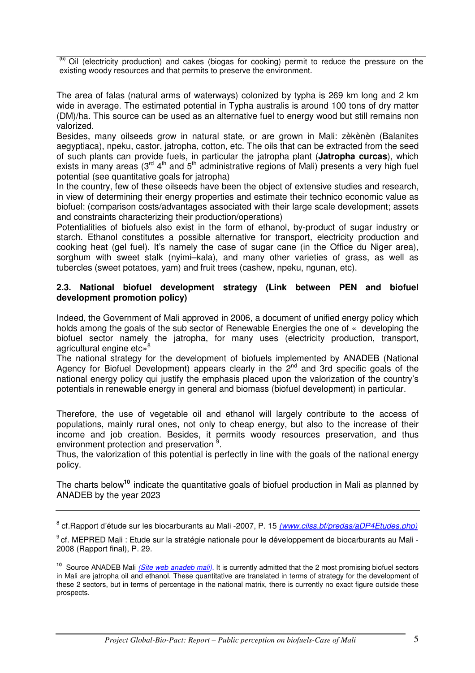$(6)$  Oil (electricity production) and cakes (biogas for cooking) permit to reduce the pressure on the existing woody resources and that permits to preserve the environment.

The area of falas (natural arms of waterways) colonized by typha is 269 km long and 2 km wide in average. The estimated potential in Typha australis is around 100 tons of dry matter (DM)/ha. This source can be used as an alternative fuel to energy wood but still remains non valorized.

Besides, many oilseeds grow in natural state, or are grown in Mali: zèkènèn (Balanites aegyptiaca), npeku, castor, jatropha, cotton, etc. The oils that can be extracted from the seed of such plants can provide fuels, in particular the jatropha plant (**Jatropha curcas**), which exists in many areas  $(3^{rd} 4^{th}$  and  $5^{th}$  administrative regions of Mali) presents a very high fuel potential (see quantitative goals for jatropha)

In the country, few of these oilseeds have been the object of extensive studies and research, in view of determining their energy properties and estimate their technico economic value as biofuel: (comparison costs/advantages associated with their large scale development; assets and constraints characterizing their production/operations)

Potentialities of biofuels also exist in the form of ethanol, by-product of sugar industry or starch. Ethanol constitutes a possible alternative for transport, electricity production and cooking heat (gel fuel). It's namely the case of sugar cane (in the Office du Niger area), sorghum with sweet stalk (nyimi–kala), and many other varieties of grass, as well as tubercles (sweet potatoes, yam) and fruit trees (cashew, npeku, ngunan, etc).

#### **2.3. National biofuel development strategy (Link between PEN and biofuel development promotion policy)**

Indeed, the Government of Mali approved in 2006, a document of unified energy policy which holds among the goals of the sub sector of Renewable Energies the one of « developing the biofuel sector namely the jatropha, for many uses (electricity production, transport, agricultural engine etc»<sup>8</sup>

The national strategy for the development of biofuels implemented by ANADEB (National Agency for Biofuel Development) appears clearly in the 2<sup>nd</sup> and 3rd specific goals of the national energy policy qui justify the emphasis placed upon the valorization of the country's potentials in renewable energy in general and biomass (biofuel development) in particular.

Therefore, the use of vegetable oil and ethanol will largely contribute to the access of populations, mainly rural ones, not only to cheap energy, but also to the increase of their income and job creation. Besides, it permits woody resources preservation, and thus environment protection and preservation<sup>9</sup>.

Thus, the valorization of this potential is perfectly in line with the goals of the national energy policy.

The charts below**<sup>10</sup>**indicate the quantitative goals of biofuel production in Mali as planned by ANADEB by the year 2023

<sup>8</sup> cf.Rapport d'étude sur les biocarburants au Mali -2007, P. 15 *(www.cilss.bf/predas/aDP4Etudes.php)*

 $9$ cf. MEPRED Mali : Etude sur la stratégie nationale pour le développement de biocarburants au Mali -2008 (Rapport final), P. 29.

**<sup>10</sup>** Source ANADEB Mali *(Site web anadeb mali).* It is currently admitted that the 2 most promising biofuel sectors in Mali are jatropha oil and ethanol. These quantitative are translated in terms of strategy for the development of these 2 sectors, but in terms of percentage in the national matrix, there is currently no exact figure outside these prospects.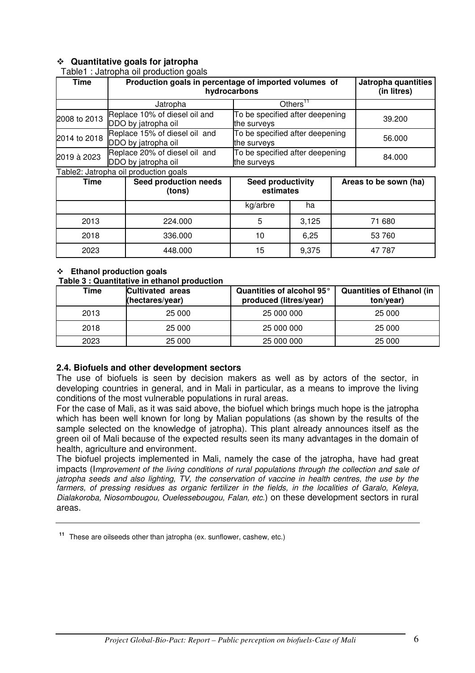### **Quantitative goals for jatropha**

Table1 : Jatropha oil production goals

| <b>Time</b>  | Production goals in percentage of imported volumes of<br>hydrocarbons | Jatropha quantities<br>(in litres)             |                                 |                       |  |
|--------------|-----------------------------------------------------------------------|------------------------------------------------|---------------------------------|-----------------------|--|
|              | Jatropha                                                              |                                                | Others"                         |                       |  |
| 2008 to 2013 | Replace 10% of diesel oil and<br>DDO by jatropha oil                  | the surveys                                    | To be specified after deepening |                       |  |
| 2014 to 2018 | Replace 15% of diesel oil and<br>DDO by jatropha oil                  | To be specified after deepening<br>the surveys |                                 | 56.000                |  |
| 2019 à 2023  | Replace 20% of diesel oil and<br>DDO by jatropha oil                  | the surveys                                    | To be specified after deepening |                       |  |
|              | Table2: Jatropha oil production goals                                 |                                                |                                 |                       |  |
| Time         | Seed production needs<br>(tons)                                       | Seed productivity<br>estimates                 |                                 | Areas to be sown (ha) |  |
|              |                                                                       | ka/arhre                                       | ha                              |                       |  |

|      |         | kg/arbre | ha    |        |
|------|---------|----------|-------|--------|
| 2013 | 224.000 | C        | 3,125 | 71 680 |
| 2018 | 336.000 | 10       | 6,25  | 53 760 |
| 2023 | 448.000 | 15       | 9,375 | 47 787 |

#### **Ethanol production goals**

#### **Table 3 : Quantitative in ethanol production**

| Time | <b>Cultivated areas</b><br>(hectares/year) | Quantities of alcohol 95°<br>produced (litres/year) | <b>Quantities of Ethanol (in</b><br>ton/year) |
|------|--------------------------------------------|-----------------------------------------------------|-----------------------------------------------|
| 2013 | 25 000                                     | 25 000 000                                          | 25 000                                        |
| 2018 | 25 000                                     | 25 000 000                                          | 25 000                                        |
| 2023 | 25 000                                     | 25 000 000                                          | 25 000                                        |

#### **2.4. Biofuels and other development sectors**

The use of biofuels is seen by decision makers as well as by actors of the sector, in developing countries in general, and in Mali in particular, as a means to improve the living conditions of the most vulnerable populations in rural areas.

For the case of Mali, as it was said above, the biofuel which brings much hope is the jatropha which has been well known for long by Malian populations (as shown by the results of the sample selected on the knowledge of jatropha). This plant already announces itself as the green oil of Mali because of the expected results seen its many advantages in the domain of health, agriculture and environment.

The biofuel projects implemented in Mali, namely the case of the jatropha, have had great impacts (I*mprovement of the living conditions of rural populations through the collection and sale of jatropha seeds and also lighting, TV, the conservation of vaccine in health centres, the use by the farmers, of pressing residues as organic fertilizer in the fields, in the localities of Garalo, Keleya, Dialakoroba, Niosombougou, Ouelessebougou, Falan, etc.*) on these development sectors in rural areas.

**<sup>11</sup>**These are oilseeds other than jatropha (ex. sunflower, cashew, etc.)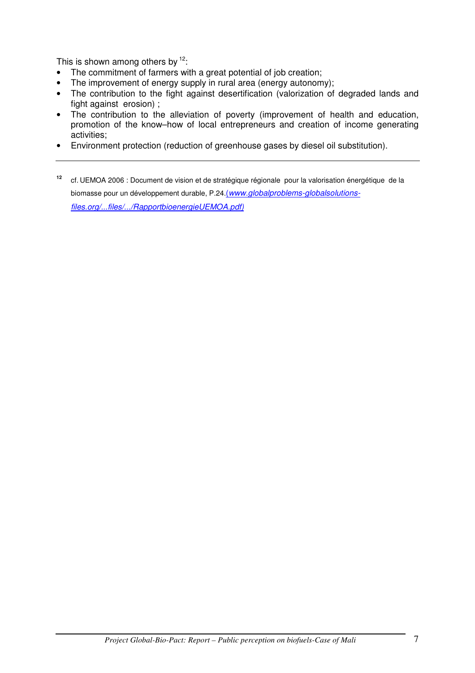This is shown among others by  $12$ :

- The commitment of farmers with a great potential of job creation;
- The improvement of energy supply in rural area (energy autonomy);
- The contribution to the fight against desertification (valorization of degraded lands and fight against erosion) ;
- The contribution to the alleviation of poverty (improvement of health and education, promotion of the know–how of local entrepreneurs and creation of income generating activities;
- Environment protection (reduction of greenhouse gases by diesel oil substitution).
- **<sup>12</sup>** cf. UEMOA 2006 : Document de vision et de stratégique régionale pour la valorisation énergétique de la biomasse pour un développement durable, P.24.(*www.globalproblems-globalsolutionsfiles.org/...files/.../RapportbioenergieUEMOA.pdf)*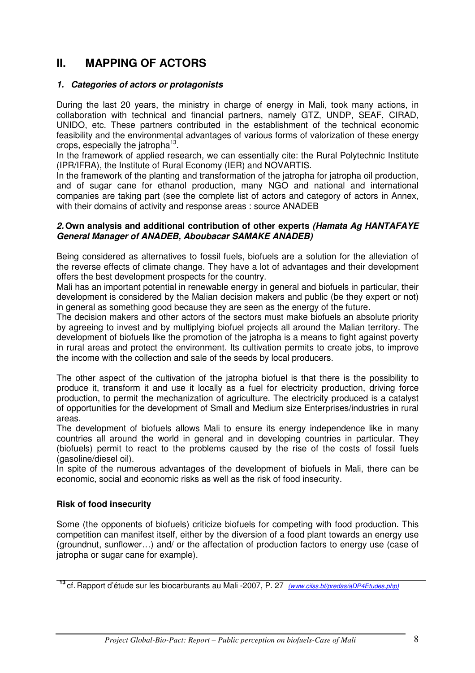# **II. MAPPING OF ACTORS**

### *1. Categories of actors or protagonists*

During the last 20 years, the ministry in charge of energy in Mali, took many actions, in collaboration with technical and financial partners, namely GTZ, UNDP, SEAF, CIRAD, UNIDO, etc. These partners contributed in the establishment of the technical economic feasibility and the environmental advantages of various forms of valorization of these energy crops, especially the jatropha<sup>13</sup>.

In the framework of applied research, we can essentially cite: the Rural Polytechnic Institute (IPR/IFRA), the Institute of Rural Economy (IER) and NOVARTIS.

In the framework of the planting and transformation of the jatropha for jatropha oil production, and of sugar cane for ethanol production, many NGO and national and international companies are taking part (see the complete list of actors and category of actors in Annex, with their domains of activity and response areas : source ANADEB

#### *2.* **Own analysis and additional contribution of other experts** *(Hamata Ag HANTAFAYE General Manager of ANADEB, Aboubacar SAMAKE ANADEB)*

Being considered as alternatives to fossil fuels, biofuels are a solution for the alleviation of the reverse effects of climate change. They have a lot of advantages and their development offers the best development prospects for the country.

Mali has an important potential in renewable energy in general and biofuels in particular, their development is considered by the Malian decision makers and public (be they expert or not) in general as something good because they are seen as the energy of the future.

The decision makers and other actors of the sectors must make biofuels an absolute priority by agreeing to invest and by multiplying biofuel projects all around the Malian territory. The development of biofuels like the promotion of the jatropha is a means to fight against poverty in rural areas and protect the environment. Its cultivation permits to create jobs, to improve the income with the collection and sale of the seeds by local producers.

The other aspect of the cultivation of the jatropha biofuel is that there is the possibility to produce it, transform it and use it locally as a fuel for electricity production, driving force production, to permit the mechanization of agriculture. The electricity produced is a catalyst of opportunities for the development of Small and Medium size Enterprises/industries in rural areas.

The development of biofuels allows Mali to ensure its energy independence like in many countries all around the world in general and in developing countries in particular. They (biofuels) permit to react to the problems caused by the rise of the costs of fossil fuels (gasoline/diesel oil).

In spite of the numerous advantages of the development of biofuels in Mali, there can be economic, social and economic risks as well as the risk of food insecurity.

# **Risk of food insecurity**

Some (the opponents of biofuels) criticize biofuels for competing with food production. This competition can manifest itself, either by the diversion of a food plant towards an energy use (groundnut, sunflower…) and/ or the affectation of production factors to energy use (case of jatropha or sugar cane for example).

**<sup>13</sup>** cf. Rapport d'étude sur les biocarburants au Mali -2007, P. 27 *(www.cilss.bf/predas/aDP4Etudes.php)*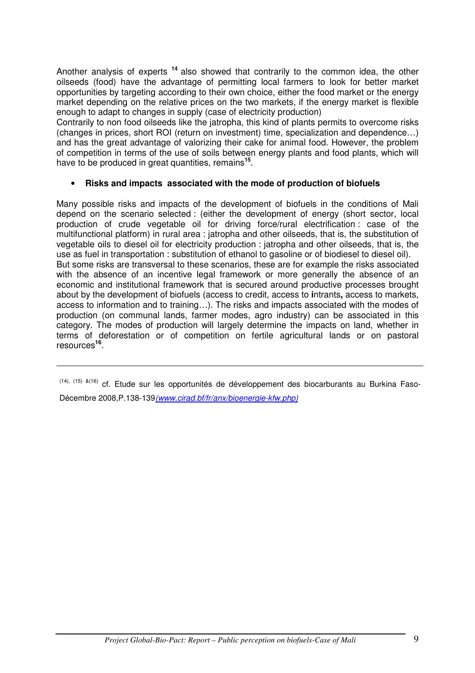Another analysis of experts **<sup>14</sup>** also showed that contrarily to the common idea, the other oilseeds (food) have the advantage of permitting local farmers to look for better market opportunities by targeting according to their own choice, either the food market or the energy market depending on the relative prices on the two markets, if the energy market is flexible enough to adapt to changes in supply (case of electricity production)

Contrarily to non food oilseeds like the jatropha, this kind of plants permits to overcome risks (changes in prices, short ROI (return on investment) time, specialization and dependence…) and has the great advantage of valorizing their cake for animal food. However, the problem of competition in terms of the use of soils between energy plants and food plants, which will have to be produced in great quantities, remains**<sup>15</sup>** .

### • **Risks and impacts associated with the mode of production of biofuels**

Many possible risks and impacts of the development of biofuels in the conditions of Mali depend on the scenario selected : (either the development of energy (short sector, local production of crude vegetable oil for driving force/rural electrification : case of the multifunctional platform) in rural area : jatropha and other oilseeds, that is, the substitution of vegetable oils to diesel oil for electricity production : jatropha and other oilseeds, that is, the use as fuel in transportation : substitution of ethanol to gasoline or of biodiesel to diesel oil). But some risks are transversal to these scenarios, these are for example the risks associated with the absence of an incentive legal framework or more generally the absence of an economic and institutional framework that is secured around productive processes brought about by the development of biofuels (access to credit, access to **i**ntrants**,** access to markets, access to information and to training…). The risks and impacts associated with the modes of production (on communal lands, farmer modes, agro industry) can be associated in this category. The modes of production will largely determine the impacts on land, whether in terms of deforestation or of competition on fertile agricultural lands or on pastoral resources**<sup>16</sup>** .

(14), (15) &(16) cf. Etude sur les opportunités de développement des biocarburants au Burkina Faso-Décembre 2008,P.138-139*(www.cirad.bf/fr/anx/bioenergie-kfw.php)*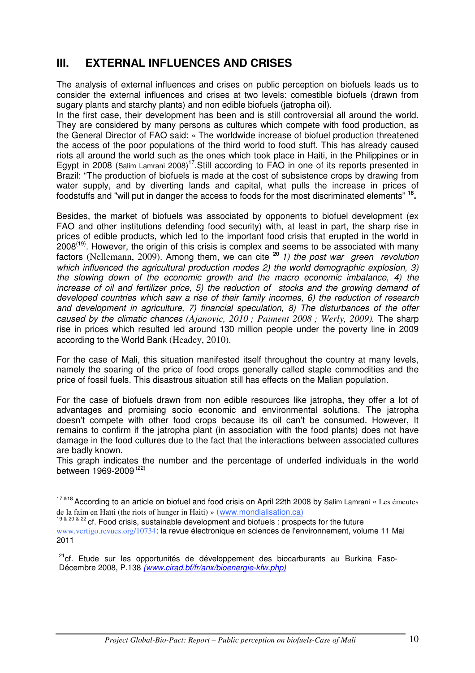# **III. EXTERNAL INFLUENCES AND CRISES**

The analysis of external influences and crises on public perception on biofuels leads us to consider the external influences and crises at two levels: comestible biofuels (drawn from sugary plants and starchy plants) and non edible biofuels (jatropha oil).

In the first case, their development has been and is still controversial all around the world. They are considered by many persons as cultures which compete with food production, as the General Director of FAO said: « The worldwide increase of biofuel production threatened the access of the poor populations of the third world to food stuff. This has already caused riots all around the world such as the ones which took place in Haiti, in the Philippines or in Egypt in 2008 (Salim Lamrani 2008)<sup>17</sup>. Still according to FAO in one of its reports presented in Brazil: "The production of biofuels is made at the cost of subsistence crops by drawing from water supply, and by diverting lands and capital, what pulls the increase in prices of foodstuffs and "will put in danger the access to foods for the most discriminated elements" **<sup>18</sup> .** 

Besides, the market of biofuels was associated by opponents to biofuel development (ex FAO and other institutions defending food security) with, at least in part, the sharp rise in prices of edible products, which led to the important food crisis that erupted in the world in  $2008<sup>(19)</sup>$ . However, the origin of this crisis is complex and seems to be associated with many factors (Nellemann, 2009). Among them, we can cite **<sup>20</sup>***1) the post war green revolution which influenced the agricultural production modes 2) the world demographic explosion, 3) the slowing down of the economic growth and the macro economic imbalance, 4) the*  increase of oil and fertilizer price, 5) the reduction of stocks and the growing demand of *developed countries which saw a rise of their family incomes, 6) the reduction of research and development in agriculture, 7) financial speculation, 8) The disturbances of the offer caused by the climatic chances (Ajanovic, 2010 ; Paiment 2008 ; Werly, 2009).* The sharp rise in prices which resulted led around 130 million people under the poverty line in 2009 according to the World Bank (Headey, 2010).

For the case of Mali, this situation manifested itself throughout the country at many levels, namely the soaring of the price of food crops generally called staple commodities and the price of fossil fuels. This disastrous situation still has effects on the Malian population.

For the case of biofuels drawn from non edible resources like jatropha, they offer a lot of advantages and promising socio economic and environmental solutions. The jatropha doesn't compete with other food crops because its oil can't be consumed. However, It remains to confirm if the jatropha plant (in association with the food plants) does not have damage in the food cultures due to the fact that the interactions between associated cultures are badly known.

This graph indicates the number and the percentage of underfed individuals in the world between 1969-2009 (22)

<sup>&</sup>lt;sup>17 &18</sup> According to an article on biofuel and food crisis on April 22th 2008 by Salim Lamrani « Les émeutes de la faim en Haïti (the riots of hunger in Haiti) » (www.mondialisation.ca)

<sup>&</sup>lt;sup>19 & 20 & 22</sup> cf. Food crisis, sustainable development and biofuels : prospects for the future www.vertigo.revues.org/10734: la revue électronique en sciences de l'environnement, volume 11 Mai 2011

<sup>&</sup>lt;sup>21</sup>cf. Etude sur les opportunités de développement des biocarburants au Burkina Faso-Décembre 2008, P.138 *(www.cirad.bf/fr/anx/bioenergie-kfw.php)*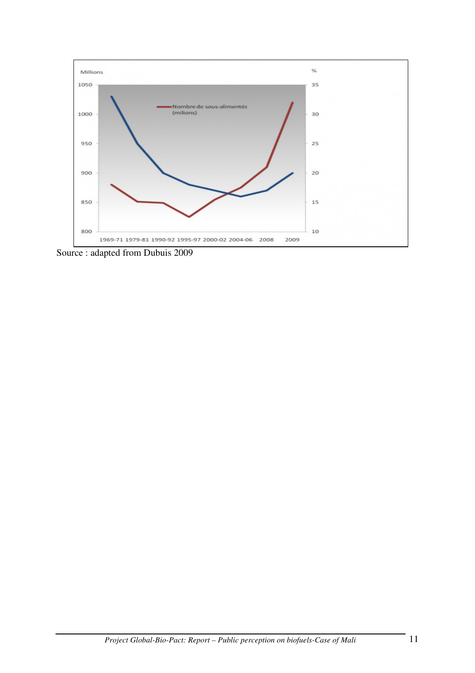

Source : adapted from Dubuis 2009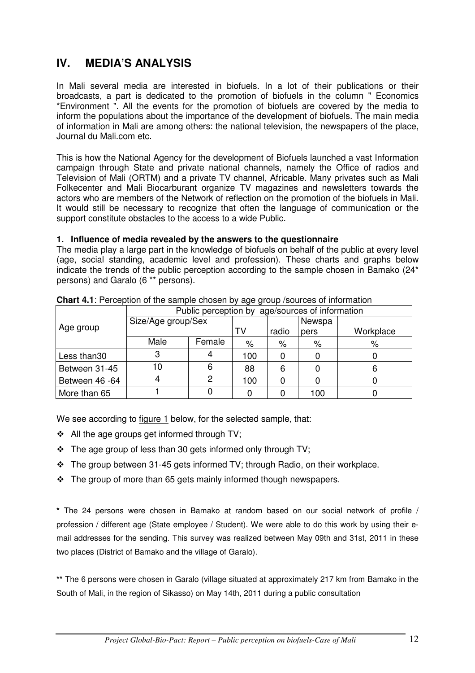# **IV. MEDIA'S ANALYSIS**

In Mali several media are interested in biofuels. In a lot of their publications or their broadcasts, a part is dedicated to the promotion of biofuels in the column " Economics \*Environment ". All the events for the promotion of biofuels are covered by the media to inform the populations about the importance of the development of biofuels. The main media of information in Mali are among others: the national television, the newspapers of the place, Journal du Mali.com etc.

This is how the National Agency for the development of Biofuels launched a vast Information campaign through State and private national channels, namely the Office of radios and Television of Mali (ORTM) and a private TV channel, Africable. Many privates such as Mali Folkecenter and Mali Biocarburant organize TV magazines and newsletters towards the actors who are members of the Network of reflection on the promotion of the biofuels in Mali. It would still be necessary to recognize that often the language of communication or the support constitute obstacles to the access to a wide Public.

### **1. Influence of media revealed by the answers to the questionnaire**

The media play a large part in the knowledge of biofuels on behalf of the public at every level (age, social standing, academic level and profession). These charts and graphs below indicate the trends of the public perception according to the sample chosen in Bamako (24\* persons) and Garalo (6 \*\* persons).

|                | Public perception by age/sources of information |        |     |        |      |           |  |  |  |
|----------------|-------------------------------------------------|--------|-----|--------|------|-----------|--|--|--|
|                | Size/Age group/Sex                              |        |     | Newspa |      |           |  |  |  |
| Age group      |                                                 |        | TV  | radio  | pers | Workplace |  |  |  |
|                | Male                                            | Female | %   | %      | $\%$ | %         |  |  |  |
| Less than30    |                                                 |        | 100 |        |      |           |  |  |  |
| Between 31-45  |                                                 | 6      | 88  | 6      |      |           |  |  |  |
| Between 46 -64 |                                                 |        | 100 |        |      |           |  |  |  |
| More than 65   |                                                 |        |     |        | 100  |           |  |  |  |

**Chart 4.1**: Perception of the sample chosen by age group /sources of information

We see according to figure 1 below, for the selected sample, that:

- $\triangleleft$  All the age groups get informed through TV;
- $\cdot \cdot$  The age group of less than 30 gets informed only through TV;
- $\cdot \cdot$  The group between 31-45 gets informed TV; through Radio, on their workplace.
- $\cdot$  The group of more than 65 gets mainly informed though newspapers.

**\*** The 24 persons were chosen in Bamako at random based on our social network of profile / profession / different age (State employee / Student). We were able to do this work by using their email addresses for the sending. This survey was realized between May 09th and 31st, 2011 in these two places (District of Bamako and the village of Garalo).

**\*\*** The 6 persons were chosen in Garalo (village situated at approximately 217 km from Bamako in the South of Mali, in the region of Sikasso) on May 14th, 2011 during a public consultation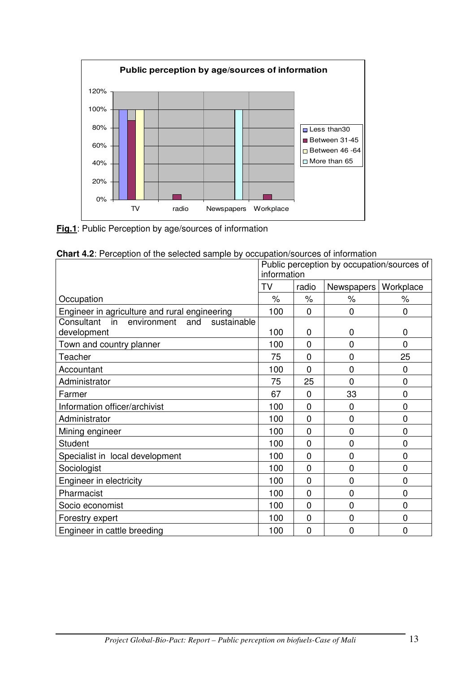

**Fig.1**: Public Perception by age/sources of information

| <b>Chart 4.2</b> : Perception of the selected sample by occupation/sources of information |                                            |                |                |                |  |  |  |  |
|-------------------------------------------------------------------------------------------|--------------------------------------------|----------------|----------------|----------------|--|--|--|--|
|                                                                                           | Public perception by occupation/sources of |                |                |                |  |  |  |  |
|                                                                                           | information                                |                |                |                |  |  |  |  |
|                                                                                           | TV                                         | radio          | Newspapers     | Workplace      |  |  |  |  |
| Occupation                                                                                | $\%$                                       | $\%$           | $\%$           | $\%$           |  |  |  |  |
| Engineer in agriculture and rural engineering                                             | 100                                        | $\Omega$       | $\Omega$       | 0              |  |  |  |  |
| Consultant<br>sustainable<br>in<br>and<br>environment                                     |                                            |                |                |                |  |  |  |  |
| development                                                                               | 100                                        | $\mathbf 0$    | $\overline{0}$ | 0              |  |  |  |  |
| Town and country planner                                                                  | 100                                        | $\mathbf{0}$   | $\mathbf 0$    | $\overline{0}$ |  |  |  |  |
| Teacher                                                                                   | 75                                         | $\mathbf 0$    | $\mathbf 0$    | 25             |  |  |  |  |
| Accountant                                                                                | 100                                        | $\mathbf{0}$   | $\overline{0}$ | 0              |  |  |  |  |
| Administrator                                                                             | 75                                         | 25             | $\mathbf 0$    | 0              |  |  |  |  |
| Farmer                                                                                    | 67                                         | $\mathbf 0$    | 33             | 0              |  |  |  |  |
| Information officer/archivist                                                             | 100                                        | $\mathbf{0}$   | $\mathbf 0$    | 0              |  |  |  |  |
| Administrator                                                                             | 100                                        | $\mathbf 0$    | $\overline{0}$ | 0              |  |  |  |  |
| Mining engineer                                                                           | 100                                        | $\mathbf 0$    | $\overline{0}$ | 0              |  |  |  |  |
| <b>Student</b>                                                                            | 100                                        | $\mathbf{0}$   | $\mathbf 0$    | $\overline{0}$ |  |  |  |  |
| Specialist in local development                                                           | 100                                        | $\overline{0}$ | $\overline{0}$ | 0              |  |  |  |  |
| Sociologist                                                                               | 100                                        | $\mathbf 0$    | $\mathbf 0$    | 0              |  |  |  |  |
| Engineer in electricity                                                                   | 100                                        | $\mathbf{0}$   | $\mathbf 0$    | 0              |  |  |  |  |
| Pharmacist                                                                                | 100                                        | $\mathbf 0$    | $\mathbf 0$    | 0              |  |  |  |  |
| Socio economist                                                                           | 100                                        | $\mathbf 0$    | $\overline{0}$ | 0              |  |  |  |  |
| Forestry expert                                                                           | 100                                        | $\mathbf 0$    | $\overline{0}$ | $\mathbf 0$    |  |  |  |  |
| Engineer in cattle breeding                                                               | 100                                        | $\overline{0}$ | $\mathbf 0$    | 0              |  |  |  |  |

**Chart 4.2**: Perception of the selected sample by occupation/sources of information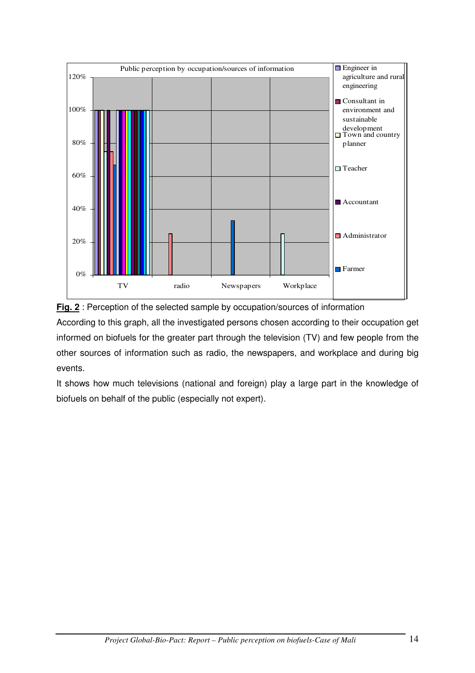



According to this graph, all the investigated persons chosen according to their occupation get informed on biofuels for the greater part through the television (TV) and few people from the other sources of information such as radio, the newspapers, and workplace and during big events.

It shows how much televisions (national and foreign) play a large part in the knowledge of biofuels on behalf of the public (especially not expert).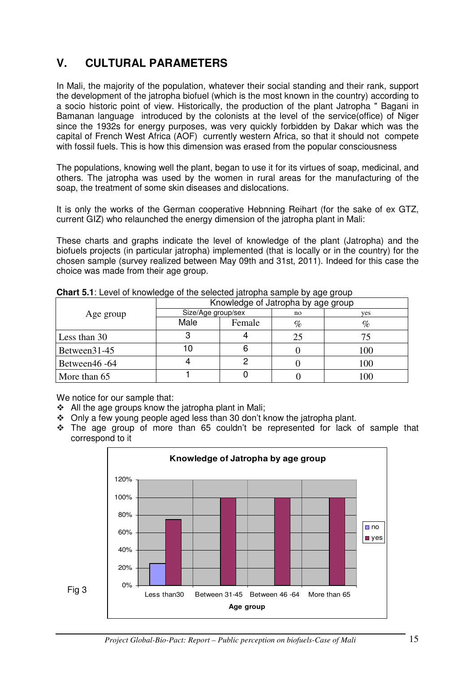# **V. CULTURAL PARAMETERS**

In Mali, the majority of the population, whatever their social standing and their rank, support the development of the jatropha biofuel (which is the most known in the country) according to a socio historic point of view. Historically, the production of the plant Jatropha " Bagani in Bamanan language introduced by the colonists at the level of the service(office) of Niger since the 1932s for energy purposes, was very quickly forbidden by Dakar which was the capital of French West Africa (AOF) currently western Africa, so that it should not compete with fossil fuels. This is how this dimension was erased from the popular consciousness

The populations, knowing well the plant, began to use it for its virtues of soap, medicinal, and others. The jatropha was used by the women in rural areas for the manufacturing of the soap, the treatment of some skin diseases and dislocations.

It is only the works of the German cooperative Hebnning Reihart (for the sake of ex GTZ, current GIZ) who relaunched the energy dimension of the jatropha plant in Mali:

These charts and graphs indicate the level of knowledge of the plant (Jatropha) and the biofuels projects (in particular jatropha) implemented (that is locally or in the country) for the chosen sample (survey realized between May 09th and 31st, 2011). Indeed for this case the choice was made from their age group.

|               | -                                  |        |      |                |  |  |  |
|---------------|------------------------------------|--------|------|----------------|--|--|--|
|               | Knowledge of Jatropha by age group |        |      |                |  |  |  |
| Age group     | Size/Age group/sex                 |        | no   | yes            |  |  |  |
|               | Male                               | Female | $\%$ | $\%$           |  |  |  |
| Less than 30  |                                    |        | 25   |                |  |  |  |
| Between 31-45 |                                    |        |      | 100            |  |  |  |
| Between46 -64 |                                    |        |      | 100            |  |  |  |
| More than 65  |                                    |        |      | 0 <sup>0</sup> |  |  |  |

**Chart 5.1**: Level of knowledge of the selected jatropha sample by age group

We notice for our sample that:

Fig 3

- All the age groups know the jatropha plant in Mali:
- Only a few young people aged less than 30 don't know the jatropha plant.
- The age group of more than 65 couldn't be represented for lack of sample that correspond to it

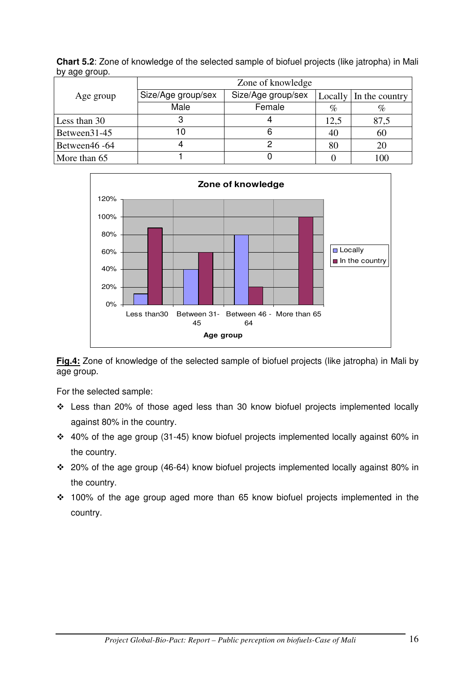| $mg - g - g - g$ | Zone of knowledge                        |        |      |                        |  |  |  |  |
|------------------|------------------------------------------|--------|------|------------------------|--|--|--|--|
| Age group        | Size/Age group/sex<br>Size/Age group/sex |        |      | Locally In the country |  |  |  |  |
|                  | Male                                     | Female | $\%$ | $\%$                   |  |  |  |  |
| Less than 30     | З                                        |        | 12,5 | 87,5                   |  |  |  |  |
| Between 31-45    | 10                                       |        | 40   | 60                     |  |  |  |  |
| Between46 -64    |                                          |        | 80   | 20                     |  |  |  |  |
| More than 65     |                                          |        |      | 100                    |  |  |  |  |

**Chart 5.2**: Zone of knowledge of the selected sample of biofuel projects (like jatropha) in Mali by age group.



**Fig.4:** Zone of knowledge of the selected sample of biofuel projects (like jatropha) in Mali by age group.

For the selected sample:

- Less than 20% of those aged less than 30 know biofuel projects implemented locally against 80% in the country.
- 40% of the age group (31-45) know biofuel projects implemented locally against 60% in the country.
- 20% of the age group (46-64) know biofuel projects implemented locally against 80% in the country.
- 100% of the age group aged more than 65 know biofuel projects implemented in the country.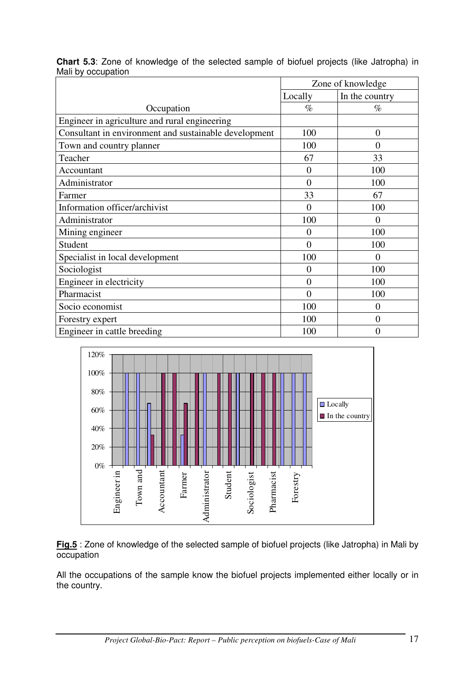|                    |  | <b>Chart 5.3:</b> Zone of knowledge of the selected sample of biofuel projects (like Jatropha) in |  |  |  |  |  |
|--------------------|--|---------------------------------------------------------------------------------------------------|--|--|--|--|--|
| Mali by occupation |  |                                                                                                   |  |  |  |  |  |

|                                                       | Zone of knowledge |                |  |
|-------------------------------------------------------|-------------------|----------------|--|
|                                                       | Locally           | In the country |  |
| Occupation                                            | $\%$              | $\%$           |  |
| Engineer in agriculture and rural engineering         |                   |                |  |
| Consultant in environment and sustainable development | 100               | $\overline{0}$ |  |
| Town and country planner                              | 100               | $\overline{0}$ |  |
| Teacher                                               | 67                | 33             |  |
| Accountant                                            | $\overline{0}$    | 100            |  |
| Administrator                                         | $\overline{0}$    | 100            |  |
| Farmer                                                | 33                | 67             |  |
| Information officer/archivist                         | $\overline{0}$    | 100            |  |
| Administrator                                         | 100               | $\theta$       |  |
| Mining engineer                                       | $\overline{0}$    | 100            |  |
| Student                                               | $\overline{0}$    | 100            |  |
| Specialist in local development                       | 100               | $\overline{0}$ |  |
| Sociologist                                           | $\overline{0}$    | 100            |  |
| Engineer in electricity                               | $\overline{0}$    | 100            |  |
| Pharmacist                                            | $\theta$          | 100            |  |
| Socio economist                                       | 100               | $\theta$       |  |
| Forestry expert                                       | 100               | $\overline{0}$ |  |
| Engineer in cattle breeding                           | 100               | $\overline{0}$ |  |



**Fig.5** : Zone of knowledge of the selected sample of biofuel projects (like Jatropha) in Mali by occupation

All the occupations of the sample know the biofuel projects implemented either locally or in the country.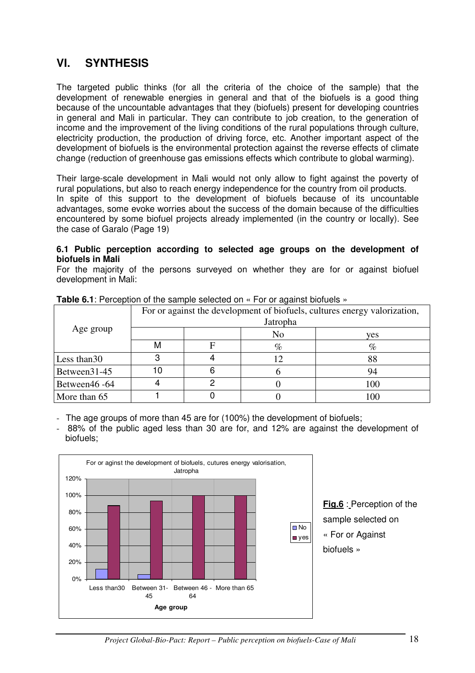# **VI. SYNTHESIS**

The targeted public thinks (for all the criteria of the choice of the sample) that the development of renewable energies in general and that of the biofuels is a good thing because of the uncountable advantages that they (biofuels) present for developing countries in general and Mali in particular. They can contribute to job creation, to the generation of income and the improvement of the living conditions of the rural populations through culture, electricity production, the production of driving force, etc. Another important aspect of the development of biofuels is the environmental protection against the reverse effects of climate change (reduction of greenhouse gas emissions effects which contribute to global warming).

Their large-scale development in Mali would not only allow to fight against the poverty of rural populations, but also to reach energy independence for the country from oil products. In spite of this support to the development of biofuels because of its uncountable advantages, some evoke worries about the success of the domain because of the difficulties encountered by some biofuel projects already implemented (in the country or locally). See the case of Garalo (Page 19)

#### **6.1 Public perception according to selected age groups on the development of biofuels in Mali**

For the majority of the persons surveyed on whether they are for or against biofuel development in Mali:

| <b>TWIP OF I</b> T DIDOPTION OF THE DUMPHO DOIDOLOGION TO DI QUALITOT DIDITION OF |                                                                           |   |                |     |  |
|-----------------------------------------------------------------------------------|---------------------------------------------------------------------------|---|----------------|-----|--|
|                                                                                   | For or against the development of biofuels, cultures energy valorization, |   |                |     |  |
| Age group                                                                         | Jatropha                                                                  |   |                |     |  |
|                                                                                   |                                                                           |   | N <sub>0</sub> | yes |  |
|                                                                                   | M                                                                         | F | $\%$           | %   |  |
| Less than 30                                                                      |                                                                           |   | 12             | 88  |  |
| Between31-45                                                                      | 10                                                                        |   |                | 94  |  |
| Between46 -64                                                                     |                                                                           |   |                | 100 |  |
| More than 65                                                                      |                                                                           |   |                | 100 |  |

**Table 6.1:** Perception of the sample selected on « For or against biofuels »

- The age groups of more than 45 are for (100%) the development of biofuels;

- 88% of the public aged less than 30 are for, and 12% are against the development of biofuels;



**Fig.6** : Perception of the sample selected on « For or Against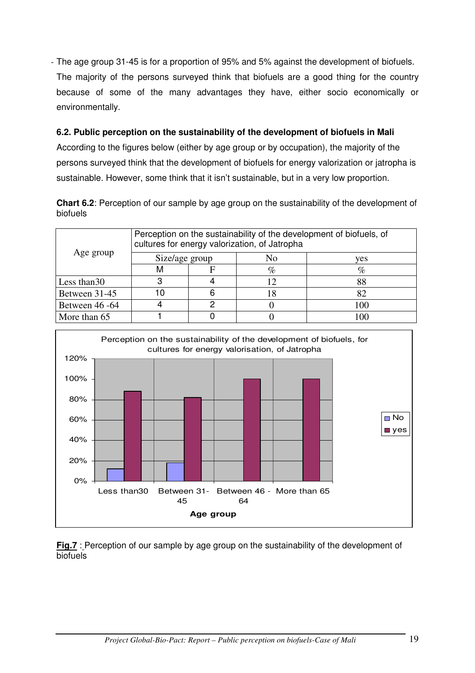- The age group 31-45 is for a proportion of 95% and 5% against the development of biofuels. The majority of the persons surveyed think that biofuels are a good thing for the country because of some of the many advantages they have, either socio economically or environmentally.

# **6.2. Public perception on the sustainability of the development of biofuels in Mali**

According to the figures below (either by age group or by occupation), the majority of the persons surveyed think that the development of biofuels for energy valorization or jatropha is sustainable. However, some think that it isn't sustainable, but in a very low proportion.

**Chart 6.2**: Perception of our sample by age group on the sustainability of the development of biofuels

|                | Perception on the sustainability of the development of biofuels, of<br>cultures for energy valorization, of Jatropha |    |                |          |
|----------------|----------------------------------------------------------------------------------------------------------------------|----|----------------|----------|
| Age group      | Size/age group                                                                                                       |    | N <sub>0</sub> | ves      |
|                |                                                                                                                      |    | $\%$           | %        |
| Less than 30   |                                                                                                                      |    |                |          |
| Between 31-45  | ۱۸                                                                                                                   | 6  |                |          |
| Between 46 -64 |                                                                                                                      | כי |                | 100      |
| More than 65   |                                                                                                                      |    |                | $\Omega$ |



**Fig.7** : Perception of our sample by age group on the sustainability of the development of **biofuels**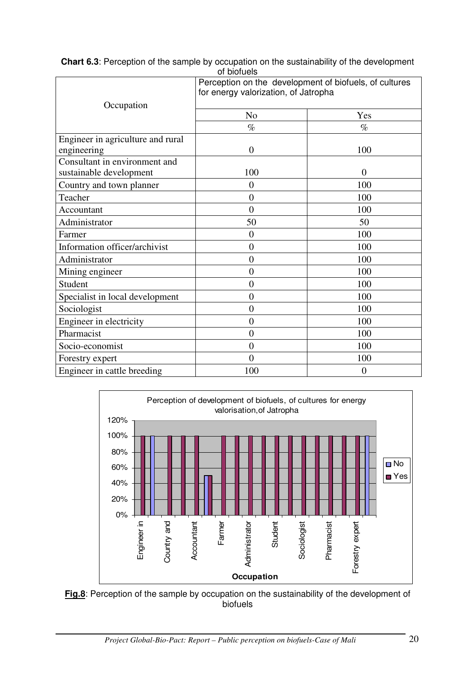|                                   | טו טוטוע                             | Perception on the development of biofuels, of cultures |  |
|-----------------------------------|--------------------------------------|--------------------------------------------------------|--|
|                                   | for energy valorization, of Jatropha |                                                        |  |
| Occupation                        |                                      |                                                        |  |
|                                   | N <sub>0</sub>                       | Yes                                                    |  |
|                                   | $\%$                                 | $\%$                                                   |  |
| Engineer in agriculture and rural |                                      |                                                        |  |
| engineering                       | $\theta$                             | 100                                                    |  |
| Consultant in environment and     |                                      |                                                        |  |
| sustainable development           | 100                                  | $\overline{0}$                                         |  |
| Country and town planner          | 0                                    | 100                                                    |  |
| Teacher                           | $\overline{0}$                       | 100                                                    |  |
| Accountant                        | $\theta$                             | 100                                                    |  |
| Administrator                     | 50                                   | 50                                                     |  |
| Farmer                            | $\overline{0}$                       | 100                                                    |  |
| Information officer/archivist     | $\overline{0}$                       | 100                                                    |  |
| Administrator                     | $\overline{0}$                       | 100                                                    |  |
| Mining engineer                   | $\overline{0}$                       | 100                                                    |  |
| Student                           | $\overline{0}$                       | 100                                                    |  |
| Specialist in local development   | $\overline{0}$                       | 100                                                    |  |
| Sociologist                       | $\overline{0}$                       | 100                                                    |  |
| Engineer in electricity           | $\overline{0}$                       | 100                                                    |  |
| Pharmacist                        | $\overline{0}$                       | 100                                                    |  |
| Socio-economist                   | $\overline{0}$                       | 100                                                    |  |
| Forestry expert                   | $\overline{0}$                       | 100                                                    |  |
| Engineer in cattle breeding       | 100                                  | $\overline{0}$                                         |  |

**Chart 6.3**: Perception of the sample by occupation on the sustainability of the development of biofuels



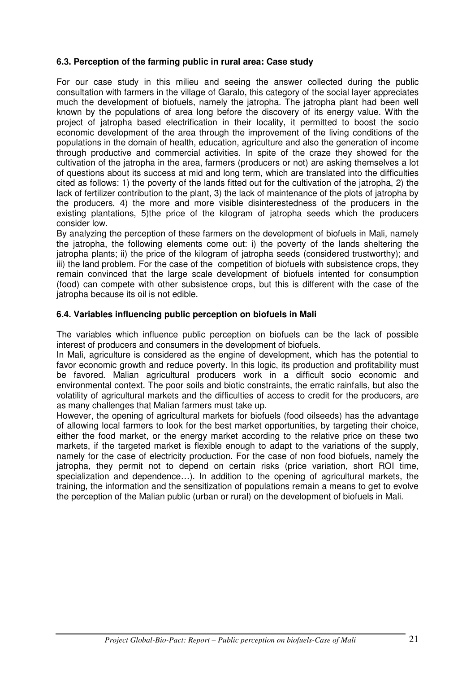### **6.3. Perception of the farming public in rural area: Case study**

For our case study in this milieu and seeing the answer collected during the public consultation with farmers in the village of Garalo, this category of the social layer appreciates much the development of biofuels, namely the jatropha. The jatropha plant had been well known by the populations of area long before the discovery of its energy value. With the project of jatropha based electrification in their locality, it permitted to boost the socio economic development of the area through the improvement of the living conditions of the populations in the domain of health, education, agriculture and also the generation of income through productive and commercial activities. In spite of the craze they showed for the cultivation of the jatropha in the area, farmers (producers or not) are asking themselves a lot of questions about its success at mid and long term, which are translated into the difficulties cited as follows: 1) the poverty of the lands fitted out for the cultivation of the jatropha, 2) the lack of fertilizer contribution to the plant, 3) the lack of maintenance of the plots of jatropha by the producers, 4) the more and more visible disinterestedness of the producers in the existing plantations, 5)the price of the kilogram of jatropha seeds which the producers consider low.

By analyzing the perception of these farmers on the development of biofuels in Mali, namely the jatropha, the following elements come out: i) the poverty of the lands sheltering the jatropha plants; ii) the price of the kilogram of jatropha seeds (considered trustworthy); and iii) the land problem. For the case of the competition of biofuels with subsistence crops, they remain convinced that the large scale development of biofuels intented for consumption (food) can compete with other subsistence crops, but this is different with the case of the jatropha because its oil is not edible.

### **6.4. Variables influencing public perception on biofuels in Mali**

The variables which influence public perception on biofuels can be the lack of possible interest of producers and consumers in the development of biofuels.

In Mali, agriculture is considered as the engine of development, which has the potential to favor economic growth and reduce poverty. In this logic, its production and profitability must be favored. Malian agricultural producers work in a difficult socio economic and environmental context. The poor soils and biotic constraints, the erratic rainfalls, but also the volatility of agricultural markets and the difficulties of access to credit for the producers, are as many challenges that Malian farmers must take up.

However, the opening of agricultural markets for biofuels (food oilseeds) has the advantage of allowing local farmers to look for the best market opportunities, by targeting their choice, either the food market, or the energy market according to the relative price on these two markets, if the targeted market is flexible enough to adapt to the variations of the supply, namely for the case of electricity production. For the case of non food biofuels, namely the jatropha, they permit not to depend on certain risks (price variation, short ROI time, specialization and dependence…). In addition to the opening of agricultural markets, the training, the information and the sensitization of populations remain a means to get to evolve the perception of the Malian public (urban or rural) on the development of biofuels in Mali.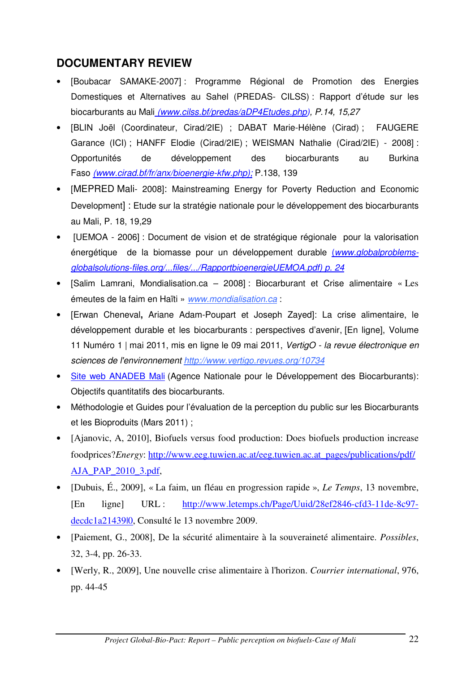# **DOCUMENTARY REVIEW**

- [Boubacar SAMAKE-2007] : Programme Régional de Promotion des Energies Domestiques et Alternatives au Sahel (PREDAS- CILSS) : Rapport d'étude sur les biocarburants au Mali *(www.cilss.bf/predas/aDP4Etudes.php), P.14, 15,27*
- [BLIN Joël (Coordinateur, Cirad/2IE) ; DABAT Marie-Hélène (Cirad) ; FAUGERE Garance (ICI) ; HANFF Elodie (Cirad/2IE) ; WEISMAN Nathalie (Cirad/2IE) - 2008] : Opportunités de développement des biocarburants au Burkina Faso *(www.cirad.bf/fr/anx/bioenergie-kfw.php);* P.138, 139
- [MEPRED Mali- 2008]: Mainstreaming Energy for Poverty Reduction and Economic Development] : Etude sur la stratégie nationale pour le développement des biocarburants au Mali, P. 18, 19,29
- [UEMOA 2006] : Document de vision et de stratégique régionale pour la valorisation énergétique de la biomasse pour un développement durable (*www.globalproblemsglobalsolutions-files.org/...files/.../RapportbioenergieUEMOA.pdf) p. 24*
- [Salim Lamrani, Mondialisation.ca 2008] : Biocarburant et Crise alimentaire « Les émeutes de la faim en Haïti » *www.mondialisation.ca* :
- [Erwan Cheneval**,** Ariane Adam-Poupart et Joseph Zayed]: La crise alimentaire, le développement durable et les biocarburants : perspectives d'avenir, [En ligne], Volume 11 Numéro 1 | mai 2011, mis en ligne le 09 mai 2011, *VertigO - la revue électronique en sciences de l'environnement http://www.vertigo.revues.org/10734*
- Site web ANADEB Mali (Agence Nationale pour le Développement des Biocarburants): Objectifs quantitatifs des biocarburants.
- Méthodologie et Guides pour l'évaluation de la perception du public sur les Biocarburants et les Bioproduits (Mars 2011) ;
- [Ajanovic, A, 2010], Biofuels versus food production: Does biofuels production increase foodprices?*Energy*: http://www.eeg.tuwien.ac.at/eeg.tuwien.ac.at\_pages/publications/pdf/ AJA\_PAP\_2010\_3.pdf,
- [Dubuis, É., 2009], « La faim, un fléau en progression rapide », *Le Temps*, 13 novembre, [En ligne] URL : http://www.letemps.ch/Page/Uuid/28ef2846-cfd3-11de-8c97 decdc1a21439|0, Consulté le 13 novembre 2009.
- [Paiement, G., 2008], De la sécurité alimentaire à la souveraineté alimentaire. *Possibles*, 32, 3-4, pp. 26-33.
- [Werly, R., 2009], Une nouvelle crise alimentaire à l'horizon. *Courrier international*, 976, pp. 44-45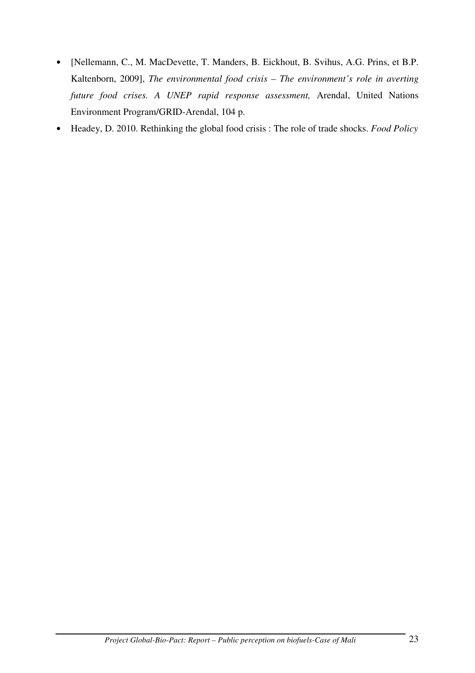- [Nellemann, C., M. MacDevette, T. Manders, B. Eickhout, B. Svihus, A.G. Prins, et B.P. Kaltenborn, 2009], *The environmental food crisis – The environment's role in averting future food crises. A UNEP rapid response assessment,* Arendal, United Nations Environment Program/GRID-Arendal, 104 p.
- Headey, D. 2010. Rethinking the global food crisis : The role of trade shocks. *Food Policy*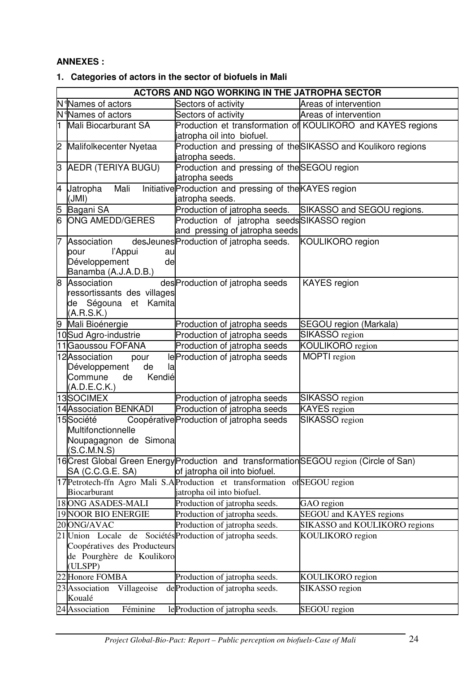### **ANNEXES :**

# **1. Categories of actors in the sector of biofuels in Mali**

|                                | ACTORS AND NGO WORKING IN THE JATROPHA SECTOR |                                                                                         |                                                              |  |  |
|--------------------------------|-----------------------------------------------|-----------------------------------------------------------------------------------------|--------------------------------------------------------------|--|--|
| N <sup>q</sup> Names of actors |                                               | Sectors of activity                                                                     | Areas of intervention                                        |  |  |
|                                | N <sup>q</sup> Names of actors                | Sectors of activity                                                                     | Areas of intervention                                        |  |  |
|                                | 1 Mali Biocarburant SA                        |                                                                                         | Production et transformation of KOULIKORO and KAYES regions  |  |  |
|                                |                                               | jatropha oil into biofuel.                                                              |                                                              |  |  |
|                                | 2 Malifolkecenter Nyetaa                      | jatropha seeds.                                                                         | Production and pressing of the SIKASSO and Koulikoro regions |  |  |
|                                | 3 AEDR (TERIYA BUGU)                          | Production and pressing of the SEGOU region                                             |                                                              |  |  |
|                                |                                               | jatropha seeds                                                                          |                                                              |  |  |
|                                | 4 Jatropha<br>Mali                            | Initiative Production and pressing of the KAYES region                                  |                                                              |  |  |
|                                | (JMI)                                         | jatropha seeds.                                                                         |                                                              |  |  |
| 5                              | Bagani SA                                     | Production of jatropha seeds.                                                           | SIKASSO and SEGOU regions.                                   |  |  |
| 6                              | <b>ONG AMEDD/GERES</b>                        | Production of jatropha seedsSIKASSO region                                              |                                                              |  |  |
|                                |                                               | and pressing of jatropha seeds                                                          |                                                              |  |  |
| 7                              | Association                                   | desJeunes Production of jatropha seeds.                                                 | <b>KOULIKORO</b> region                                      |  |  |
|                                | l'Appui<br>pour<br>au                         |                                                                                         |                                                              |  |  |
|                                | de<br>Développement                           |                                                                                         |                                                              |  |  |
|                                | Banamba (A.J.A.D.B.)<br>8 Association         | des Production of jatropha seeds                                                        | <b>KAYES</b> region                                          |  |  |
|                                | ressortissants des villages                   |                                                                                         |                                                              |  |  |
|                                | de Ségouna et Kamita                          |                                                                                         |                                                              |  |  |
|                                | (A.R.S.K.)                                    |                                                                                         |                                                              |  |  |
|                                | 9 Mali Bioénergie                             | Production of jatropha seeds                                                            | SEGOU region (Markala)                                       |  |  |
|                                | 10Sud Agro-industrie                          | Production of jatropha seeds                                                            | SIKASSO region                                               |  |  |
|                                | 11 Gaoussou FOFANA                            | Production of jatropha seeds                                                            | KOULIKORO region                                             |  |  |
|                                | 12 Association<br>pour                        | le Production of jatropha seeds                                                         | MOPTI region                                                 |  |  |
|                                | Développement<br>de<br>la                     |                                                                                         |                                                              |  |  |
|                                | Kendié<br>Commune<br>de                       |                                                                                         |                                                              |  |  |
|                                | (A.D.E.C.K.)                                  |                                                                                         |                                                              |  |  |
|                                | 13SOCIMEX                                     | Production of jatropha seeds                                                            | SIKASSO region                                               |  |  |
|                                | 14 Association BENKADI                        | Production of jatropha seeds                                                            | <b>KAYES</b> region                                          |  |  |
|                                | 15 Société                                    | Coopérative Production of jatropha seeds                                                | SIKASSO region                                               |  |  |
|                                | Multifonctionnelle                            |                                                                                         |                                                              |  |  |
|                                | Noupagagnon de Simona<br>(S.C.M.N.S)          |                                                                                         |                                                              |  |  |
|                                |                                               | 16 Crest Global Green Energy Production and transformation SEGOU region (Circle of San) |                                                              |  |  |
|                                | SA (C.C.G.E. SA)                              | of jatropha oil into biofuel.                                                           |                                                              |  |  |
|                                |                                               | 17 Petrotech-ffn Agro Mali S.A Production et transformation                             | ofSEGOU region                                               |  |  |
|                                | Biocarburant                                  | jatropha oil into biofuel.                                                              |                                                              |  |  |
|                                | 18 ONG ASADES-MALI                            | Production of jatropha seeds.                                                           | GAO region                                                   |  |  |
|                                | 19 NOOR BIO ENERGIE                           | Production of jatropha seeds.                                                           | SEGOU and KAYES regions                                      |  |  |
|                                | 20 ONG/AVAC                                   | Production of jatropha seeds.                                                           | SIKASSO and KOULIKORO regions                                |  |  |
|                                | 21 Union Locale                               | de Sociétés Production of jatropha seeds.                                               | KOULIKORO region                                             |  |  |
|                                | Coopératives des Producteurs                  |                                                                                         |                                                              |  |  |
|                                | de Pourghère de Koulikoro                     |                                                                                         |                                                              |  |  |
|                                | (ULSPP)                                       |                                                                                         |                                                              |  |  |
|                                | 22 Honore FOMBA                               | Production of jatropha seeds.                                                           | KOULIKORO region                                             |  |  |
|                                | Villageoise<br>23 Association<br>Koualé       | de Production of jatropha seeds.                                                        | SIKASSO region                                               |  |  |
|                                | 24 Association<br>Féminine                    | le Production of jatropha seeds.                                                        | <b>SEGOU</b> region                                          |  |  |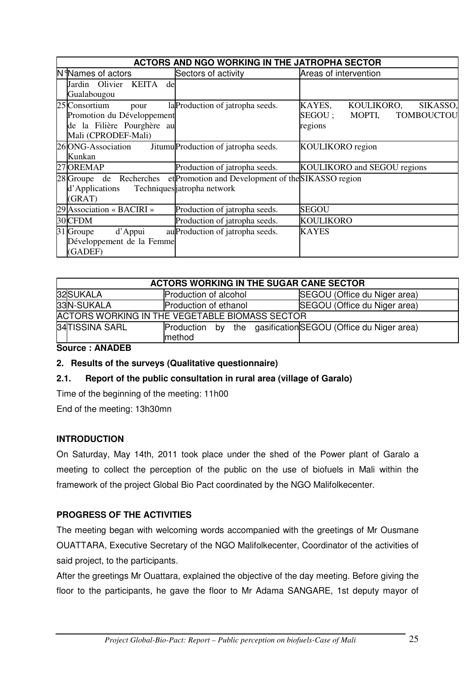| ACTORS AND NGO WORKING IN THE JATROPHA SECTOR                                                            |                                                                                                           |                                                                                |  |
|----------------------------------------------------------------------------------------------------------|-----------------------------------------------------------------------------------------------------------|--------------------------------------------------------------------------------|--|
| N <sup>d</sup> Names of actors                                                                           | Sectors of activity                                                                                       | Areas of intervention                                                          |  |
| Jardin Olivier KEITA<br>de<br>Gualabougou                                                                |                                                                                                           |                                                                                |  |
| 25 Consortium<br>pour<br>Promotion du Développement<br>de la Filière Pourghère au<br>Mali (CPRODEF-Mali) | la Production of jatropha seeds.                                                                          | KOULIKORO,<br>KAYES,<br>SIKASSO,<br>MOPTI,<br>TOMBOUCTOU<br>SEGOU ;<br>regions |  |
| 26 ONG-Association<br>Kunkan                                                                             | Jitumu Production of jatropha seeds.                                                                      | <b>KOULIKORO</b> region                                                        |  |
| 27 OREMAP                                                                                                | Production of jatropha seeds.                                                                             | KOULIKORO and SEGOU regions                                                    |  |
| d'Applications<br>(GRAT)                                                                                 | 28 Groupe de Recherches et Promotion and Development of the SIKASSO region<br>Techniques jatropha network |                                                                                |  |
| 29 Association « BACIRI »                                                                                | Production of jatropha seeds.                                                                             | <b>SEGOU</b>                                                                   |  |
| 30 CFDM                                                                                                  | Production of jatropha seeds.                                                                             | <b>KOULIKORO</b>                                                               |  |
| 31 Groupe<br>d'Appui<br>Développement de la Femme<br>(GADEF)                                             | au Production of jatropha seeds.                                                                          | <b>KAYES</b>                                                                   |  |

| <b>ACTORS WORKING IN THE SUGAR CANE SECTOR</b> |                              |                                                            |  |  |
|------------------------------------------------|------------------------------|------------------------------------------------------------|--|--|
| 32SUKALA                                       | <b>Production of alcohol</b> | SEGOU (Office du Niger area)                               |  |  |
| 33N-SUKALA                                     | <b>Production of ethanol</b> | SEGOU (Office du Niger area)                               |  |  |
| ACTORS WORKING IN THE VEGETABLE BIOMASS SECTOR |                              |                                                            |  |  |
| 34 TISSINA SARL                                | method                       | Production by the gasificationSEGOU (Office du Niger area) |  |  |
|                                                |                              |                                                            |  |  |

**Source : ANADEB** 

# **2. Results of the surveys (Qualitative questionnaire)**

# **2.1. Report of the public consultation in rural area (village of Garalo)**

Time of the beginning of the meeting: 11h00

End of the meeting: 13h30mn

# **INTRODUCTION**

On Saturday, May 14th, 2011 took place under the shed of the Power plant of Garalo a meeting to collect the perception of the public on the use of biofuels in Mali within the framework of the project Global Bio Pact coordinated by the NGO Malifolkecenter.

# **PROGRESS OF THE ACTIVITIES**

The meeting began with welcoming words accompanied with the greetings of Mr Ousmane OUATTARA, Executive Secretary of the NGO Malifolkecenter, Coordinator of the activities of said project, to the participants.

After the greetings Mr Ouattara, explained the objective of the day meeting. Before giving the floor to the participants, he gave the floor to Mr Adama SANGARE, 1st deputy mayor of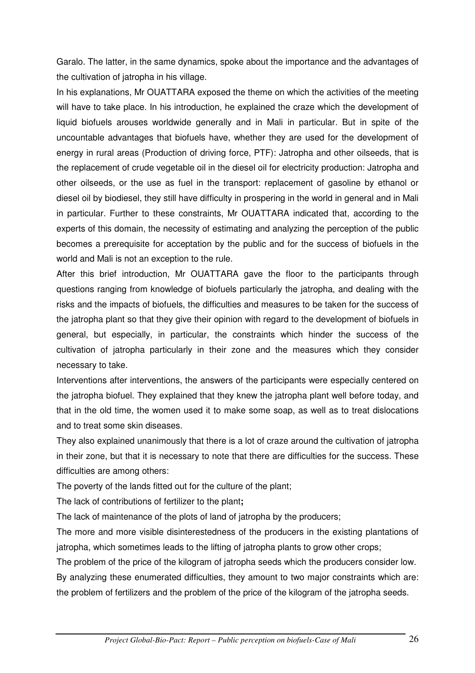Garalo. The latter, in the same dynamics, spoke about the importance and the advantages of the cultivation of jatropha in his village.

In his explanations, Mr OUATTARA exposed the theme on which the activities of the meeting will have to take place. In his introduction, he explained the craze which the development of liquid biofuels arouses worldwide generally and in Mali in particular. But in spite of the uncountable advantages that biofuels have, whether they are used for the development of energy in rural areas (Production of driving force, PTF): Jatropha and other oilseeds, that is the replacement of crude vegetable oil in the diesel oil for electricity production: Jatropha and other oilseeds, or the use as fuel in the transport: replacement of gasoline by ethanol or diesel oil by biodiesel, they still have difficulty in prospering in the world in general and in Mali in particular. Further to these constraints, Mr OUATTARA indicated that, according to the experts of this domain, the necessity of estimating and analyzing the perception of the public becomes a prerequisite for acceptation by the public and for the success of biofuels in the world and Mali is not an exception to the rule.

After this brief introduction, Mr OUATTARA gave the floor to the participants through questions ranging from knowledge of biofuels particularly the jatropha, and dealing with the risks and the impacts of biofuels, the difficulties and measures to be taken for the success of the jatropha plant so that they give their opinion with regard to the development of biofuels in general, but especially, in particular, the constraints which hinder the success of the cultivation of jatropha particularly in their zone and the measures which they consider necessary to take.

Interventions after interventions, the answers of the participants were especially centered on the jatropha biofuel. They explained that they knew the jatropha plant well before today, and that in the old time, the women used it to make some soap, as well as to treat dislocations and to treat some skin diseases.

They also explained unanimously that there is a lot of craze around the cultivation of jatropha in their zone, but that it is necessary to note that there are difficulties for the success. These difficulties are among others:

The poverty of the lands fitted out for the culture of the plant;

The lack of contributions of fertilizer to the plant**;**

The lack of maintenance of the plots of land of jatropha by the producers;

The more and more visible disinterestedness of the producers in the existing plantations of jatropha, which sometimes leads to the lifting of jatropha plants to grow other crops;

The problem of the price of the kilogram of jatropha seeds which the producers consider low. By analyzing these enumerated difficulties, they amount to two major constraints which are: the problem of fertilizers and the problem of the price of the kilogram of the jatropha seeds.